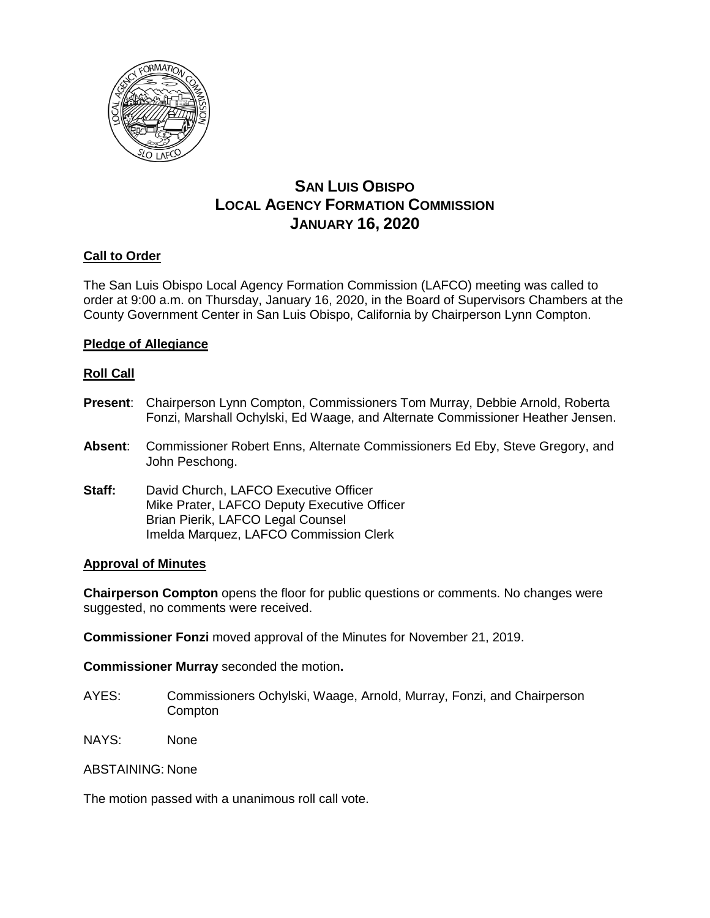

# **SAN LUIS OBISPO LOCAL AGENCY FORMATION COMMISSION JANUARY 16, 2020**

# **Call to Order**

The San Luis Obispo Local Agency Formation Commission (LAFCO) meeting was called to order at 9:00 a.m. on Thursday, January 16, 2020, in the Board of Supervisors Chambers at the County Government Center in San Luis Obispo, California by Chairperson Lynn Compton.

# **Pledge of Allegiance**

# **Roll Call**

- **Present**: Chairperson Lynn Compton, Commissioners Tom Murray, Debbie Arnold, Roberta Fonzi, Marshall Ochylski, Ed Waage, and Alternate Commissioner Heather Jensen.
- **Absent**: Commissioner Robert Enns, Alternate Commissioners Ed Eby, Steve Gregory, and John Peschong.
- **Staff:** David Church, LAFCO Executive Officer Mike Prater, LAFCO Deputy Executive Officer Brian Pierik, LAFCO Legal Counsel Imelda Marquez, LAFCO Commission Clerk

# **Approval of Minutes**

**Chairperson Compton** opens the floor for public questions or comments. No changes were suggested, no comments were received.

**Commissioner Fonzi** moved approval of the Minutes for November 21, 2019.

**Commissioner Murray** seconded the motion**.**

- AYES: Commissioners Ochylski, Waage, Arnold, Murray, Fonzi, and Chairperson **Compton**
- NAYS: None

ABSTAINING: None

The motion passed with a unanimous roll call vote.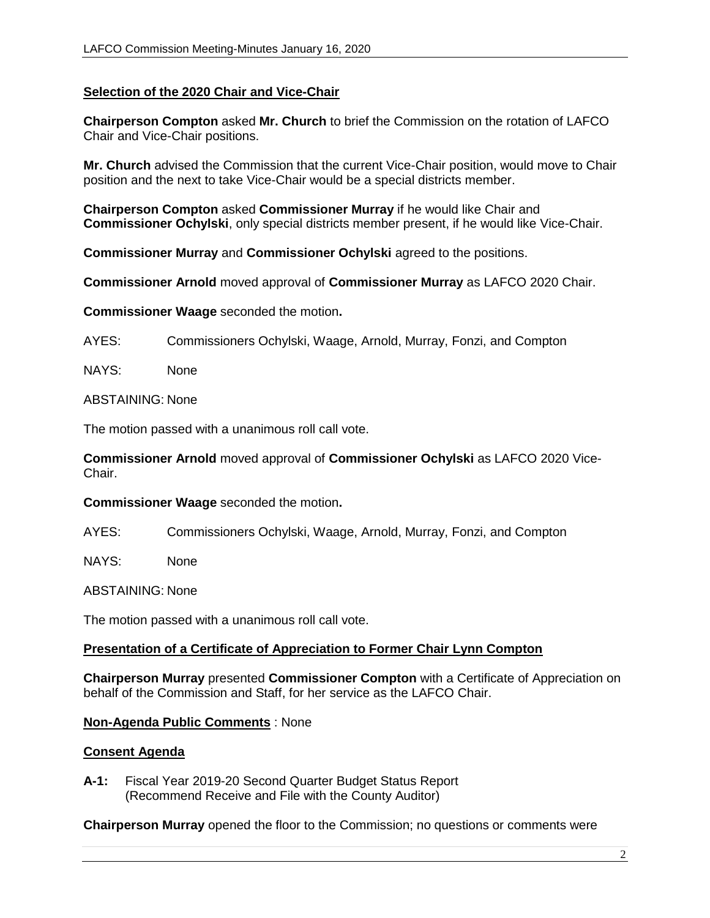# **Selection of the 2020 Chair and Vice-Chair**

**Chairperson Compton** asked **Mr. Church** to brief the Commission on the rotation of LAFCO Chair and Vice-Chair positions.

**Mr. Church** advised the Commission that the current Vice-Chair position, would move to Chair position and the next to take Vice-Chair would be a special districts member.

**Chairperson Compton** asked **Commissioner Murray** if he would like Chair and **Commissioner Ochylski**, only special districts member present, if he would like Vice-Chair.

**Commissioner Murray** and **Commissioner Ochylski** agreed to the positions.

**Commissioner Arnold** moved approval of **Commissioner Murray** as LAFCO 2020 Chair.

**Commissioner Waage** seconded the motion**.**

AYES: Commissioners Ochylski, Waage, Arnold, Murray, Fonzi, and Compton

NAYS: None

#### ABSTAINING: None

The motion passed with a unanimous roll call vote.

**Commissioner Arnold** moved approval of **Commissioner Ochylski** as LAFCO 2020 Vice-Chair.

#### **Commissioner Waage** seconded the motion**.**

AYES: Commissioners Ochylski, Waage, Arnold, Murray, Fonzi, and Compton

NAYS: None

ABSTAINING: None

The motion passed with a unanimous roll call vote.

#### **Presentation of a Certificate of Appreciation to Former Chair Lynn Compton**

**Chairperson Murray** presented **Commissioner Compton** with a Certificate of Appreciation on behalf of the Commission and Staff, for her service as the LAFCO Chair.

#### **Non-Agenda Public Comments** : None

#### **Consent Agenda**

**A-1:** Fiscal Year 2019-20 Second Quarter Budget Status Report (Recommend Receive and File with the County Auditor)

**Chairperson Murray** opened the floor to the Commission; no questions or comments were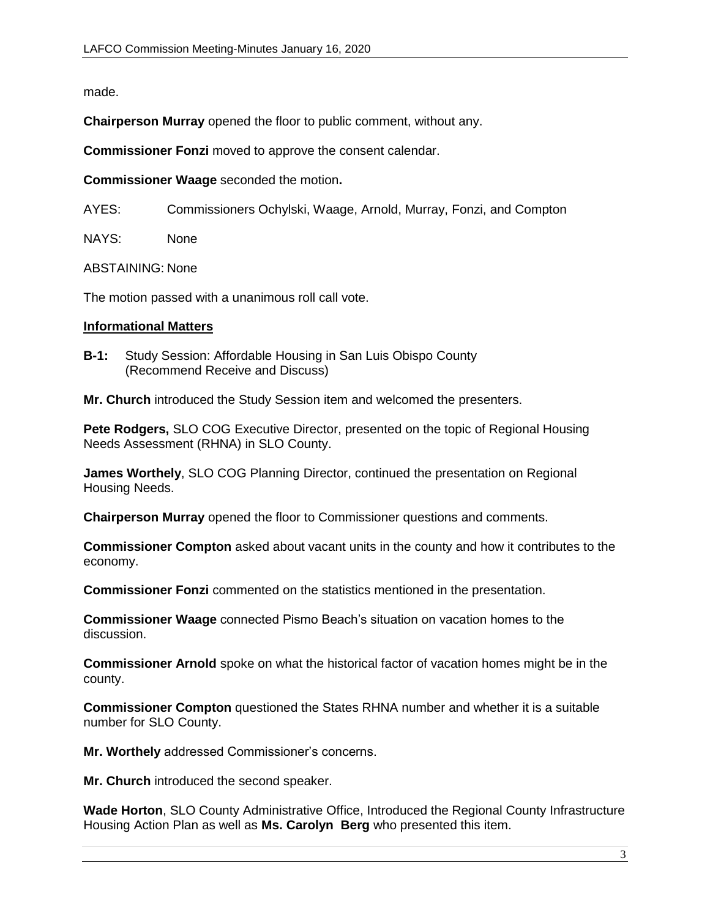made.

**Chairperson Murray** opened the floor to public comment, without any.

**Commissioner Fonzi** moved to approve the consent calendar.

**Commissioner Waage** seconded the motion**.**

AYES: Commissioners Ochylski, Waage, Arnold, Murray, Fonzi, and Compton

NAYS: None

ABSTAINING: None

The motion passed with a unanimous roll call vote.

#### **Informational Matters**

**B-1:** Study Session: Affordable Housing in San Luis Obispo County (Recommend Receive and Discuss)

**Mr. Church** introduced the Study Session item and welcomed the presenters.

**Pete Rodgers,** SLO COG Executive Director, presented on the topic of Regional Housing Needs Assessment (RHNA) in SLO County.

**James Worthely**, SLO COG Planning Director, continued the presentation on Regional Housing Needs.

**Chairperson Murray** opened the floor to Commissioner questions and comments.

**Commissioner Compton** asked about vacant units in the county and how it contributes to the economy.

**Commissioner Fonzi** commented on the statistics mentioned in the presentation.

**Commissioner Waage** connected Pismo Beach's situation on vacation homes to the discussion.

**Commissioner Arnold** spoke on what the historical factor of vacation homes might be in the county.

**Commissioner Compton** questioned the States RHNA number and whether it is a suitable number for SLO County.

**Mr. Worthely** addressed Commissioner's concerns.

**Mr. Church** introduced the second speaker.

**Wade Horton**, SLO County Administrative Office, Introduced the Regional County Infrastructure Housing Action Plan as well as **Ms. Carolyn Berg** who presented this item.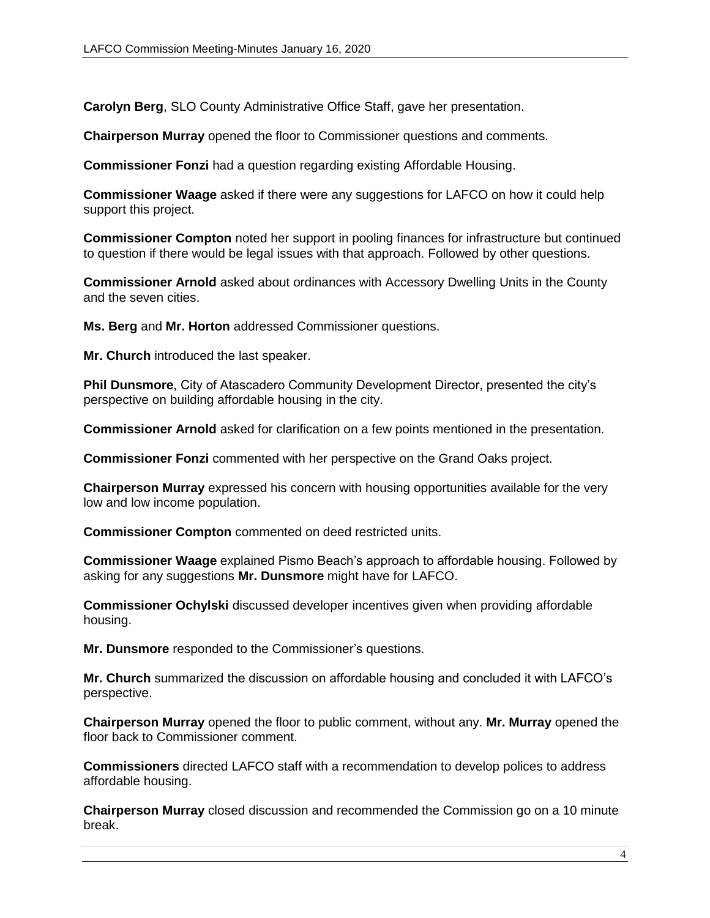**Carolyn Berg**, SLO County Administrative Office Staff, gave her presentation.

**Chairperson Murray** opened the floor to Commissioner questions and comments.

**Commissioner Fonzi** had a question regarding existing Affordable Housing.

**Commissioner Waage** asked if there were any suggestions for LAFCO on how it could help support this project.

**Commissioner Compton** noted her support in pooling finances for infrastructure but continued to question if there would be legal issues with that approach. Followed by other questions.

**Commissioner Arnold** asked about ordinances with Accessory Dwelling Units in the County and the seven cities.

**Ms. Berg** and **Mr. Horton** addressed Commissioner questions.

**Mr. Church** introduced the last speaker.

**Phil Dunsmore**, City of Atascadero Community Development Director, presented the city's perspective on building affordable housing in the city.

**Commissioner Arnold** asked for clarification on a few points mentioned in the presentation.

**Commissioner Fonzi** commented with her perspective on the Grand Oaks project.

**Chairperson Murray** expressed his concern with housing opportunities available for the very low and low income population.

**Commissioner Compton** commented on deed restricted units.

**Commissioner Waage** explained Pismo Beach's approach to affordable housing. Followed by asking for any suggestions **Mr. Dunsmore** might have for LAFCO.

**Commissioner Ochylski** discussed developer incentives given when providing affordable housing.

**Mr. Dunsmore** responded to the Commissioner's questions.

**Mr. Church** summarized the discussion on affordable housing and concluded it with LAFCO's perspective.

**Chairperson Murray** opened the floor to public comment, without any. **Mr. Murray** opened the floor back to Commissioner comment.

**Commissioners** directed LAFCO staff with a recommendation to develop polices to address affordable housing.

**Chairperson Murray** closed discussion and recommended the Commission go on a 10 minute break.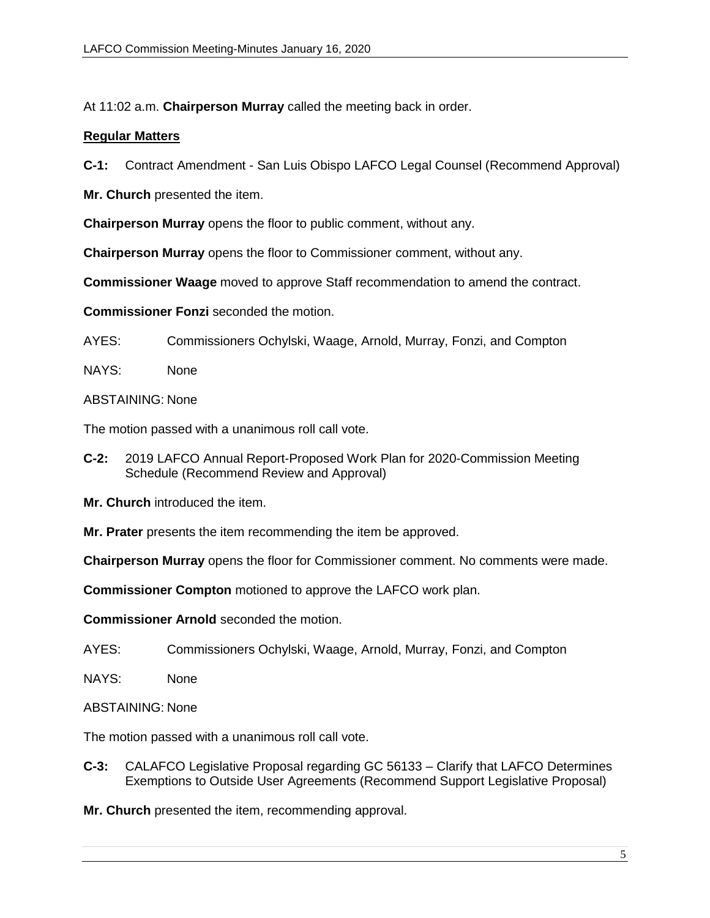At 11:02 a.m. **Chairperson Murray** called the meeting back in order.

# **Regular Matters**

**C-1:** Contract Amendment - San Luis Obispo LAFCO Legal Counsel (Recommend Approval)

**Mr. Church** presented the item.

**Chairperson Murray** opens the floor to public comment, without any.

**Chairperson Murray** opens the floor to Commissioner comment, without any.

**Commissioner Waage** moved to approve Staff recommendation to amend the contract.

**Commissioner Fonzi** seconded the motion.

AYES: Commissioners Ochylski, Waage, Arnold, Murray, Fonzi, and Compton

NAYS: None

ABSTAINING: None

The motion passed with a unanimous roll call vote.

**C-2:** 2019 LAFCO Annual Report-Proposed Work Plan for 2020-Commission Meeting Schedule (Recommend Review and Approval)

**Mr. Church** introduced the item.

**Mr. Prater** presents the item recommending the item be approved.

**Chairperson Murray** opens the floor for Commissioner comment. No comments were made.

**Commissioner Compton** motioned to approve the LAFCO work plan.

**Commissioner Arnold** seconded the motion.

AYES: Commissioners Ochylski, Waage, Arnold, Murray, Fonzi, and Compton

- NAYS: None
- ABSTAINING: None

The motion passed with a unanimous roll call vote.

- **C-3:** CALAFCO Legislative Proposal regarding GC 56133 Clarify that LAFCO Determines Exemptions to Outside User Agreements (Recommend Support Legislative Proposal)
- **Mr. Church** presented the item, recommending approval.